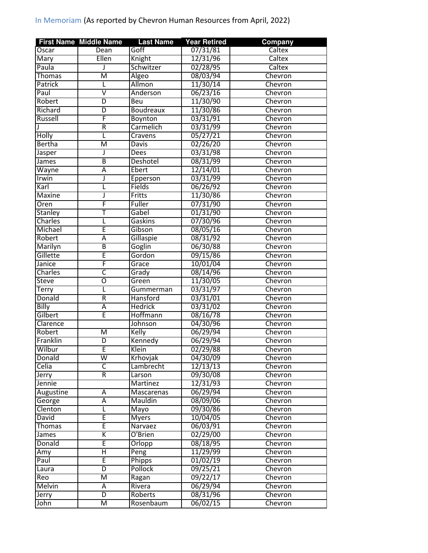|                  | <b>First Name Middle Name</b> | <b>Last Name</b>    | <b>Year Retired</b>  | <b>Company</b> |
|------------------|-------------------------------|---------------------|----------------------|----------------|
| Oscar            | Dean                          | Goff                | 07/31/81             | Caltex         |
| Mary             | Ellen                         | Knight              | 12/31/96             | Caltex         |
| Paula            | J                             | Schwitzer           | 02/28/95             | Caltex         |
| <b>Thomas</b>    | M                             | Algeo               | 08/03/94             | Chevron        |
| Patrick          | L                             | Allmon              | 11/30/14             | Chevron        |
| Paul             | $\overline{\mathsf{v}}$       | Anderson            | 06/23/16             | Chevron        |
| Robert           | $\overline{\mathsf{D}}$       | Beu                 | 11/30/90             | Chevron        |
| Richard          | D                             | <b>Boudreaux</b>    | 11/30/86             | Chevron        |
| Russell          | F                             | Boynton             | 03/31/91             | Chevron        |
|                  | $\overline{R}$                | Carmelich           | 03/31/99             | Chevron        |
| <b>Holly</b>     | L                             | Cravens             | 05/27/21             | Chevron        |
| <b>Bertha</b>    | $\overline{\mathsf{M}}$       | Davis               | 02/26/20             | Chevron        |
| Jasper           | $\mathbf{J}$                  | Dees                | 03/31/98             | Chevron        |
| James            | $\overline{\mathsf{B}}$       | Deshotel            | 08/31/99             | Chevron        |
| Wayne            | Ā                             | Ebert               | 12/14/01             | Chevron        |
| Irwin            | J                             | Epperson            | 03/31/99             | Chevron        |
| Karl             |                               | Fields              | 06/26/92             | Chevron        |
| Maxine           | J                             | Fritts              | 11/30/86             | Chevron        |
| Oren             | F                             | Fuller              | 07/31/90             | Chevron        |
| <b>Stanley</b>   | Τ                             | Gabel               | 01/31/90             | Chevron        |
| Charles          | L                             | Gaskins             | 07/30/96             | Chevron        |
| Michael          | Ē                             | Gibson              | 08/05/16             | Chevron        |
| Robert           | Ā                             | Gillaspie           | 08/31/92             | Chevron        |
| Marilyn          | $\overline{B}$                | Goglin              | 06/30/88             | Chevron        |
| Gillette         | Ē                             | Gordon              | 09/15/86             | Chevron        |
| Janice           | F                             | Grace               | 10/01/04             | Chevron        |
| Charles          | $\overline{\mathsf{c}}$       |                     | 08/14/96             | Chevron        |
| <b>Steve</b>     | Ō                             | Grady<br>Green      | 11/30/05             | Chevron        |
| <b>Terry</b>     | L                             | Gummerman           | 03/31/97             | Chevron        |
| Donald           | $\overline{\mathsf{R}}$       | Hansford            | 03/31/01             | Chevron        |
| Billy            | Ā                             | <b>Hedrick</b>      | 03/31/02             | Chevron        |
| Gilbert          | Ē                             | Hoffmann            | 08/16/78             | Chevron        |
| Clarence         |                               | Johnson             | 04/30/96             | Chevron        |
| Robert           | $\overline{\mathsf{M}}$       | Kelly               | 06/29/94             | Chevron        |
| Franklin         | $\overline{\mathsf{D}}$       | Kennedy             | 06/29/94             | Chevron        |
| Wilbur           | Ē                             | Klein               |                      | Chevron        |
|                  | W                             | Krhovjak            | 02/29/88             |                |
| Donald<br>Celia  | $\overline{\mathsf{C}}$       |                     | 04/30/09<br>12/13/13 | Chevron        |
|                  | R                             | Lambrecht<br>Larson | 09/30/08             | Chevron        |
| Jerry            |                               |                     | 12/31/93             | Chevron        |
| Jennie           |                               | Martinez            |                      | Chevron        |
| <b>Augustine</b> | Ā                             | Mascarenas          | 06/29/94             | Chevron        |
| George           | Ā                             | Mauldin             | 08/09/06             | Chevron        |
| Clenton          |                               | Mayo                | 09/30/86             | Chevron        |
| David            | Ē                             | <b>Myers</b>        | 10/04/05             | Chevron        |
| Thomas           | E                             | Narvaez             | 06/03/91             | Chevron        |
| James            | K                             | O'Brien             | 02/29/00             | Chevron        |
| Donald           | Ē                             | Orlopp              | 08/18/95             | Chevron        |
| Amy              | Η                             | Peng                | 11/29/99             | Chevron        |
| Paul             | Ē                             | Phipps              | 01/02/19             | Chevron        |
| Laura            | D                             | Pollock             | 09/25/21             | Chevron        |
| Reo              | $\overline{\mathsf{M}}$       | Ragan               | 09/22/17             | Chevron        |
| <b>Melvin</b>    | А                             | Rivera              | 06/29/94             | Chevron        |
| Jerry            | D                             | Roberts             | 08/31/96             | Chevron        |
| John             | $\overline{\mathsf{M}}$       | Rosenbaum           | 06/02/15             | Chevron        |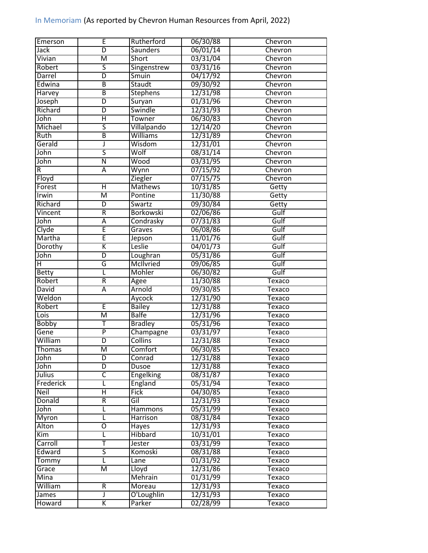| Emerson                | Έ                            | Rutherford       | 06/30/88 | Chevron |
|------------------------|------------------------------|------------------|----------|---------|
| Jack                   | $\overline{\mathsf{D}}$      | <b>Saunders</b>  | 06/01/14 | Chevron |
| Vivian                 | $\overline{\mathsf{M}}$      | <b>Short</b>     | 03/31/04 | Chevron |
| Robert                 | 5                            | Singenstrew      | 03/31/16 | Chevron |
| Darrel                 | D                            | Smuin            | 04/17/92 | Chevron |
| Edwina                 | B                            | Staudt           | 09/30/92 | Chevron |
| Harvey                 | B                            | <b>Stephens</b>  | 12/31/98 | Chevron |
| Joseph                 | D                            | Suryan           | 01/31/96 | Chevron |
| Richard                | D                            | Swindle          | 12/31/93 | Chevron |
| John                   | Η                            | Towner           | 06/30/83 | Chevron |
| Michael                | $\overline{\mathsf{s}}$      | Villalpando      | 12/14/20 | Chevron |
| Ruth                   | $\overline{\mathsf{B}}$      | Williams         | 12/31/89 | Chevron |
| Gerald                 | J                            | Wisdom           | 12/31/01 | Chevron |
| John                   | $\overline{\mathsf{S}}$      | Wolf             | 08/31/14 | Chevron |
| John                   | $\overline{\mathsf{N}}$      | Wood             | 03/31/95 | Chevron |
| R                      | $\overline{A}$               | Wynn             | 07/15/92 | Chevron |
| Floyd                  |                              | <b>Ziegler</b>   | 07/15/75 | Chevron |
| Forest                 | Ή                            | <b>Mathews</b>   | 10/31/85 | Getty   |
| Irwin                  | $\overline{\mathsf{M}}$      | Pontine          | 11/30/88 | Getty   |
| Richard                | $\overline{\mathsf{D}}$      | Swartz           | 09/30/84 | Getty   |
| Vincent                | $\overline{\mathsf{R}}$      | <b>Borkowski</b> | 02/06/86 | Gulf    |
| John                   | Ā                            | Condrasky        | 07/31/83 | Gulf    |
| Clyde                  | Ē                            | Graves           | 06/08/86 | Gulf    |
| Martha                 | Ē                            | Jepson           | 11/01/76 | Gulf    |
| Dorothy                | K                            | Leslie           | 04/01/73 | Gulf    |
| John                   | $\overline{\mathsf{D}}$      | Loughran         | 05/31/86 | Gulf    |
| Η                      | G                            | McIlvried        | 09/06/85 | Gulf    |
|                        |                              |                  |          | Gulf    |
| <b>Betty</b><br>Robert | L<br>$\overline{\mathsf{R}}$ | Mohler           | 06/30/82 |         |
| David                  | Ā                            | Agee<br>Arnold   | 11/30/88 | Texaco  |
|                        |                              |                  | 09/30/85 | Texaco  |
| Weldon                 | Ē                            | Aycock           | 12/31/90 | Texaco  |
| Robert                 |                              | <b>Bailey</b>    | 12/31/88 | Texaco  |
| Lois                   | $\overline{\mathsf{M}}$      | <b>Balfe</b>     | 12/31/96 | Texaco  |
| <b>Bobby</b>           | т                            | <b>Bradley</b>   | 05/31/96 | Texaco  |
| Gene                   | $\overline{\mathsf{P}}$      | Champagne        | 03/31/97 | Texaco  |
| William                | $\overline{D}$               | <b>Collins</b>   | 12/31/88 | Texaco  |
| Thomas                 | M                            | Comfort          | 06/30/85 | Texaco  |
| John                   | $\overline{D}$               | Conrad           | 12/31/88 | Texaco  |
| John                   | $\overline{\mathsf{D}}$      | Dusoe            | 12/31/88 | Texaco  |
| Julius                 | $\overline{\mathsf{C}}$      | <b>Engelking</b> | 08/31/87 | Texaco  |
| Frederick              | L                            | England          | 05/31/94 | Texaco  |
| <b>Neil</b>            | Η                            | <b>Fick</b>      | 04/30/85 | Texaco  |
| Donald                 | R                            | Gil              | 12/31/93 | Texaco  |
| John                   | Г                            | Hammons          | 05/31/99 | Texaco  |
| Myron                  | Г                            | <b>Harrison</b>  | 08/31/84 | Texaco  |
| Alton                  | Ō                            | Hayes            | 12/31/93 | Texaco  |
| Kim                    | L                            | Hibbard          | 10/31/01 | Texaco  |
| Carroll                | T                            | Jester           | 03/31/99 | Texaco  |
| Edward                 | $\overline{\mathsf{S}}$      | Komoski          | 08/31/88 | Texaco  |
| Tommy                  | τ                            | Lane             | 01/31/92 | Texaco  |
| Grace                  | M                            | Lloyd            | 12/31/86 | Texaco  |
| Mina                   |                              | Mehrain          | 01/31/99 | Texaco  |
| William                | $\overline{R}$               | Moreau           | 12/31/93 | Texaco  |
| James                  | J                            | O'Loughlin       | 12/31/93 | Texaco  |
| Howard                 | K                            | Parker           | 02/28/99 | Texaco  |